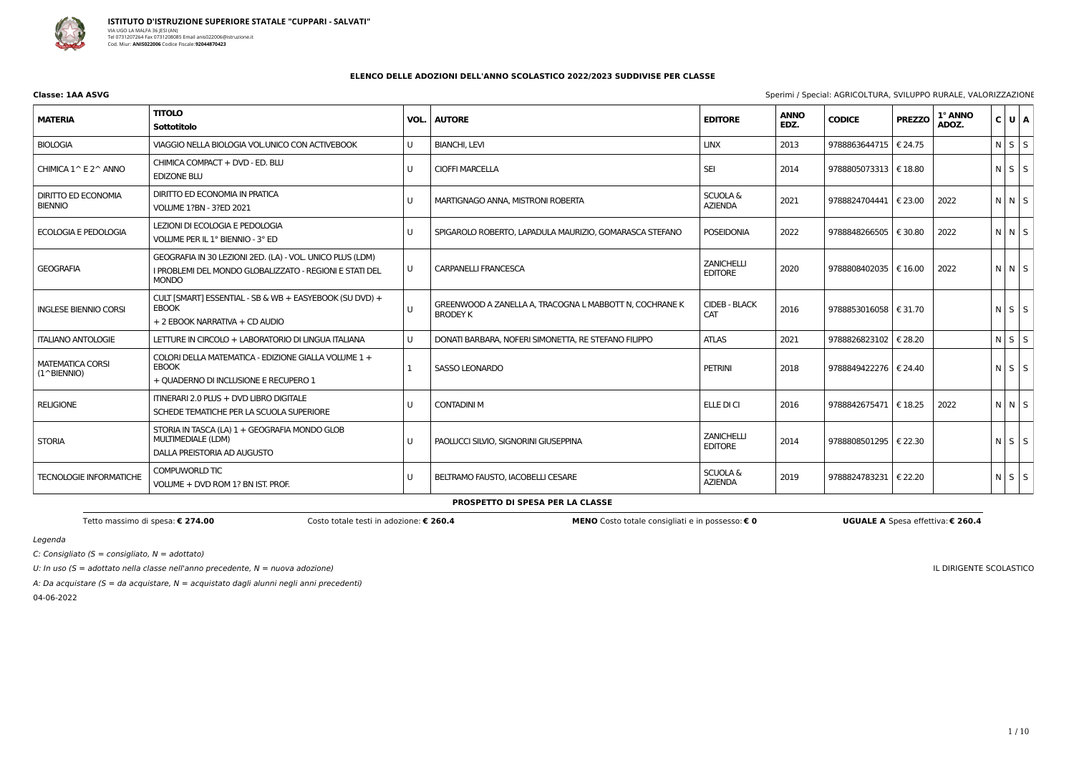

| Classe: 1AA ASVG | Sperimi / Special: AGRICOLTURA, SVILUPPO RURALE, VALORIZZAZIONE |
|------------------|-----------------------------------------------------------------|
|                  |                                                                 |

A: Da acquistare (S = da acquistare,  $N =$  acquistato dagli alunni negli anni precedenti) 04-06-2022

Legenda

C: Consigliato ( $S =$  consigliato,  $N =$  adottato)

U: In uso ( $S =$  adottato nella classe nell'anno precedente,  $N =$  nuova adozione)

IL DIRIGENTE SCOLASTICO

### **ELENCO DELLE ADOZIONI DELL'ANNO SCOLASTICO 2022/2023 SUDDIVISE PER CLASSE**

| <b>MATERIA</b>                                   | <b>TITOLO</b><br><b>Sottotitolo</b>                                                                                                  | VOL.   | <b>AUTORE</b>                                                              | <b>EDITORE</b>                        | <b>ANNO</b><br>EDZ. | <b>CODICE</b>           | <b>PREZZO</b> | 1° ANNO<br>ADOZ. | C U A             |  |
|--------------------------------------------------|--------------------------------------------------------------------------------------------------------------------------------------|--------|----------------------------------------------------------------------------|---------------------------------------|---------------------|-------------------------|---------------|------------------|-------------------|--|
| <b>BIOLOGIA</b>                                  | VIAGGIO NELLA BIOLOGIA VOL.UNICO CON ACTIVEBOOK                                                                                      | U      | <b>BIANCHI, LEVI</b>                                                       | <b>LINX</b>                           | 2013                | 9788863644715           | € 24.75       |                  | $N$ $S$ $S$       |  |
| CHIMICA 1^ E 2^ ANNO                             | CHIMICA COMPACT + DVD - ED. BLU<br><b>EDIZONE BLU</b>                                                                                | U      | <b>CIOFFI MARCELLA</b>                                                     | <b>SEI</b>                            | 2014                | 9788805073313   € 18.80 |               |                  | $N$ $S$ $S$       |  |
| <b>DIRITTO ED ECONOMIA</b><br><b>BIENNIO</b>     | DIRITTO ED ECONOMIA IN PRATICA<br><b>VOLUME 1?BN - 3?ED 2021</b>                                                                     | U      | MARTIGNAGO ANNA, MISTRONI ROBERTA                                          | <b>SCUOLA &amp;</b><br><b>AZIENDA</b> | 2021                | 9788824704441   € 23.00 |               | 2022             | $N \mid N \mid S$ |  |
| <b>ECOLOGIA E PEDOLOGIA</b>                      | LEZIONI DI ECOLOGIA E PEDOLOGIA<br>VOLUME PER IL 1° BIENNIO - 3° ED                                                                  | U      | SPIGAROLO ROBERTO, LAPADULA MAURIZIO, GOMARASCA STEFANO                    | <b>POSEIDONIA</b>                     | 2022                | 9788848266505   € 30.80 |               | 2022             | $N$ $N$ $S$       |  |
| <b>GEOGRAFIA</b>                                 | GEOGRAFIA IN 30 LEZIONI 2ED. (LA) - VOL. UNICO PLUS (LDM)<br>I PROBLEMI DEL MONDO GLOBALIZZATO - REGIONI E STATI DEL<br><b>MONDO</b> | $\cup$ | <b>CARPANELLI FRANCESCA</b>                                                | <b>ZANICHELLI</b><br><b>EDITORE</b>   | 2020                | 9788808402035   € 16.00 |               | 2022             | $N$ $N$ $S$       |  |
| <b>INGLESE BIENNIO CORSI</b>                     | CULT [SMART] ESSENTIAL - SB & WB + EASYEBOOK (SU DVD) +<br><b>EBOOK</b><br>+ 2 EBOOK NARRATIVA + CD AUDIO                            | $\cup$ | GREENWOOD A ZANELLA A, TRACOGNA L MABBOTT N, COCHRANE K<br><b>BRODEY K</b> | <b>CIDEB - BLACK</b><br><b>CAT</b>    | 2016                | 9788853016058   € 31.70 |               |                  | $N$ $S$ $S$       |  |
| <b>ITALIANO ANTOLOGIE</b>                        | LETTURE IN CIRCOLO + LABORATORIO DI LINGUA ITALIANA                                                                                  | U      | DONATI BARBARA, NOFERI SIMONETTA, RE STEFANO FILIPPO                       | <b>ATLAS</b>                          | 2021                | 9788826823102   € 28.20 |               |                  | $N$ $S$ $S$       |  |
| <b>MATEMATICA CORSI</b><br>$(1^{\wedge}B$ ENNIO) | COLORI DELLA MATEMATICA - EDIZIONE GIALLA VOLUME 1 +<br><b>EBOOK</b><br>+ QUADERNO DI INCLUSIONE E RECUPERO 1                        |        | <b>SASSO LEONARDO</b>                                                      | <b>PETRINI</b>                        | 2018                | 9788849422276   € 24.40 |               |                  | $N \mid S \mid S$ |  |
| <b>RELIGIONE</b>                                 | ITINERARI 2.0 PLUS + DVD LIBRO DIGITALE<br>SCHEDE TEMATICHE PER LA SCUOLA SUPERIORE                                                  | U      | <b>CONTADINI M</b>                                                         | ELLE DI CI                            | 2016                | 9788842675471   € 18.25 |               | 2022             | $N$ $N$ $S$       |  |
| <b>STORIA</b>                                    | STORIA IN TASCA (LA) 1 + GEOGRAFIA MONDO GLOB<br>MULTIMEDIALE (LDM)<br>DALLA PREISTORIA AD AUGUSTO                                   | U      | PAOLUCCI SILVIO, SIGNORINI GIUSEPPINA                                      | <b>ZANICHELLI</b><br><b>EDITORE</b>   | 2014                | 9788808501295   € 22.30 |               |                  | $N$ $S$ $S$       |  |
| <b>TECNOLOGIE INFORMATICHE</b>                   | COMPUWORLD TIC<br>VOLUME + DVD ROM 1? BN IST. PROF.                                                                                  | U      | BELTRAMO FAUSTO, IACOBELLI CESARE                                          | <b>SCUOLA &amp;</b><br><b>AZIENDA</b> | 2019                | 9788824783231 € 22.20   |               |                  | $N \mid S \mid S$ |  |

**PROSPETTO DI SPESA PER LA CLASSE**

Tetto massimo di spesa: € 274.00 Costo totale testi in adozione: € 260.4 MENO Costo totale consigliati e in possesso: € 0 UGUALE A Spesa effettiva: € 260.4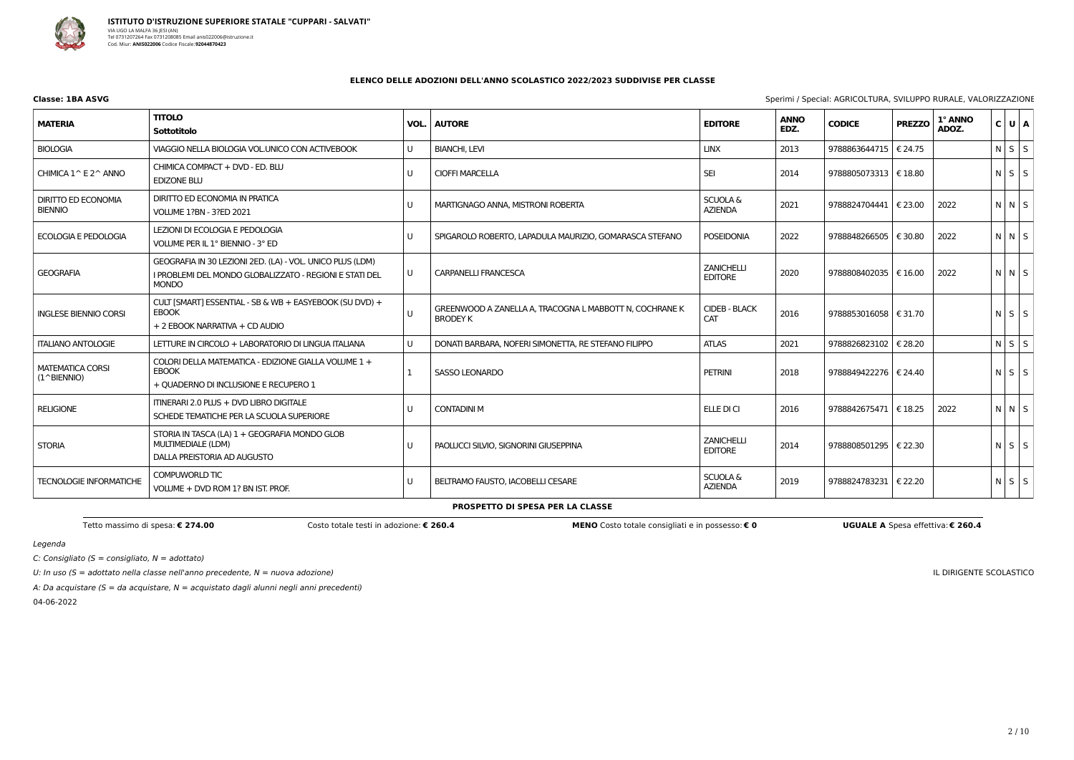

**Classe: 1BA ASVG** Sperimi / Special: AGRICOLTURA, SVILUPPO RURALE, VALORIZZAZIONE

Tetto massimo di spesa: € 274.00 Costo totale testi in adozione: € 260.4 MENO Costo totale consigliati e in possesso: € 0 UGUALE A Spesa effettiva: € 260.4

Legenda

C: Consigliato ( $S =$  consigliato,  $N =$  adottato)

U: In uso ( $S =$  adottato nella classe nell'anno precedente,  $N =$  nuova adozione)

A: Da acquistare ( $S = da$  acquistare,  $N = ac$ quistato dagli alunni negli anni precedenti)

04-06-2022

IL DIRIGENTE SCOLASTICO

### **ELENCO DELLE ADOZIONI DELL'ANNO SCOLASTICO 2022/2023 SUDDIVISE PER CLASSE**

| <b>MATERIA</b>                                 | <b>TITOLO</b><br>Sottotitolo                                                                                                         | VOL.         | <b>AUTORE</b>                                                              | <b>EDITORE</b>                        | <b>ANNO</b><br>EDZ. | <b>CODICE</b>           | <b>PREZZO</b>   | 1° ANNO<br>ADOZ. | C U A       |
|------------------------------------------------|--------------------------------------------------------------------------------------------------------------------------------------|--------------|----------------------------------------------------------------------------|---------------------------------------|---------------------|-------------------------|-----------------|------------------|-------------|
| <b>BIOLOGIA</b>                                | VIAGGIO NELLA BIOLOGIA VOL.UNICO CON ACTIVEBOOK                                                                                      | U            | <b>BIANCHI, LEVI</b>                                                       | <b>LINX</b>                           | 2013                | 9788863644715           | € 24.75         |                  | $N$ $S$ $S$ |
| CHIMICA 1^ E 2^ ANNO                           | CHIMICA COMPACT + DVD - ED. BLU<br><b>EDIZONE BLU</b>                                                                                | U            | <b>CIOFFI MARCELLA</b>                                                     | <b>SEI</b>                            | 2014                | 9788805073313   € 18.80 |                 |                  | $N$ $S$ $S$ |
| <b>DIRITTO ED ECONOMIA</b><br><b>BIENNIO</b>   | DIRITTO ED ECONOMIA IN PRATICA<br><b>VOLUME 1?BN - 3?ED 2021</b>                                                                     | U            | MARTIGNAGO ANNA, MISTRONI ROBERTA                                          | <b>SCUOLA &amp;</b><br><b>AZIENDA</b> | 2021                | 9788824704441   € 23.00 |                 | 2022             | NNS         |
| <b>ECOLOGIA E PEDOLOGIA</b>                    | LEZIONI DI ECOLOGIA E PEDOLOGIA<br>VOLUME PER IL 1° BIENNIO - 3° ED                                                                  | U            | SPIGAROLO ROBERTO, LAPADULA MAURIZIO, GOMARASCA STEFANO                    | <b>POSEIDONIA</b>                     | 2022                | 9788848266505   € 30.80 |                 | 2022             | $N$ $N$ $S$ |
| <b>GEOGRAFIA</b>                               | GEOGRAFIA IN 30 LEZIONI 2ED. (LA) - VOL. UNICO PLUS (LDM)<br>I PROBLEMI DEL MONDO GLOBALIZZATO - REGIONI E STATI DEL<br><b>MONDO</b> | U            | <b>CARPANELLI FRANCESCA</b>                                                | <b>ZANICHELLI</b><br><b>EDITORE</b>   | 2020                | 9788808402035   € 16.00 |                 | 2022             | NNS         |
| <b>INGLESE BIENNIO CORSI</b>                   | CULT [SMART] ESSENTIAL - SB & WB + EASYEBOOK (SU DVD) +<br><b>EBOOK</b><br>+ 2 EBOOK NARRATIVA + CD AUDIO                            | $\cup$       | GREENWOOD A ZANELLA A, TRACOGNA L MABBOTT N, COCHRANE K<br><b>BRODEY K</b> | <b>CIDEB - BLACK</b><br><b>CAT</b>    | 2016                | 9788853016058   € 31.70 |                 |                  | $N$ $S$ $S$ |
| <b>ITALIANO ANTOLOGIE</b>                      | LETTURE IN CIRCOLO + LABORATORIO DI LINGUA ITALIANA                                                                                  | $\mathbf{U}$ | DONATI BARBARA, NOFERI SIMONETTA, RE STEFANO FILIPPO                       | <b>ATLAS</b>                          | 2021                | 9788826823102           | € 28.20         |                  | $N$ $S$ $S$ |
| <b>MATEMATICA CORSI</b><br>$(1^{\wedge}BIENT)$ | COLORI DELLA MATEMATICA - EDIZIONE GIALLA VOLUME 1 +<br><b>EBOOK</b><br>+ QUADERNO DI INCLUSIONE E RECUPERO 1                        |              | <b>SASSO LEONARDO</b>                                                      | <b>PETRINI</b>                        | 2018                | 9788849422276   € 24.40 |                 |                  | $N$ $S$ $S$ |
| <b>RELIGIONE</b>                               | ITINERARI 2.0 PLUS + DVD LIBRO DIGITALE<br>SCHEDE TEMATICHE PER LA SCUOLA SUPERIORE                                                  | U            | <b>CONTADINI M</b>                                                         | ELLE DI CI                            | 2016                | 9788842675471   € 18.25 |                 | 2022             | NNS         |
| <b>STORIA</b>                                  | STORIA IN TASCA (LA) 1 + GEOGRAFIA MONDO GLOB<br><b>MULTIMEDIALE (LDM)</b><br>DALLA PREISTORIA AD AUGUSTO                            | $\cup$       | PAOLUCCI SILVIO, SIGNORINI GIUSEPPINA                                      | <b>ZANICHELLI</b><br><b>EDITORE</b>   | 2014                | 9788808501295   € 22.30 |                 |                  | $N$ $S$ $S$ |
| <b>TECNOLOGIE INFORMATICHE</b>                 | <b>COMPUWORLD TIC</b><br>VOLUME + DVD ROM 1? BN IST. PROF.                                                                           | U            | BELTRAMO FAUSTO, IACOBELLI CESARE                                          | <b>SCUOLA &amp;</b><br><b>AZIENDA</b> | 2019                | 9788824783231           | $\vert$ € 22.20 |                  | $N$ $S$ $S$ |

**PROSPETTO DI SPESA PER LA CLASSE**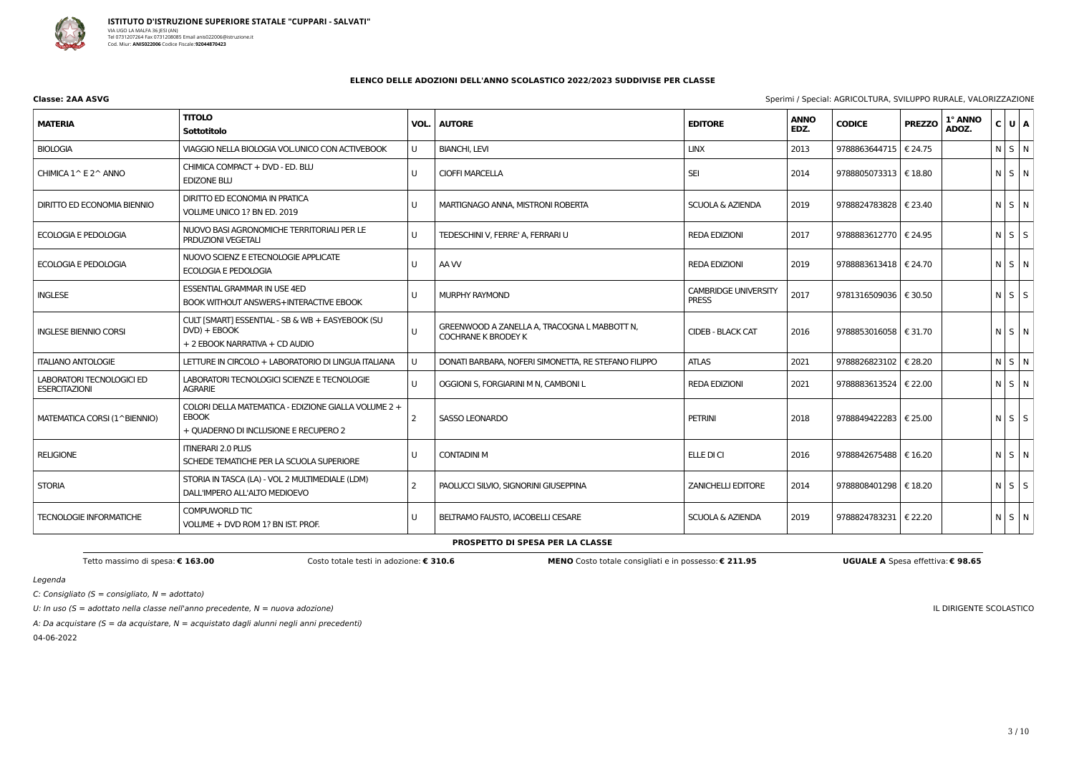

**Classe: 2AA ASVG** Sperimi / Special: AGRICOLTURA, SVILUPPO RURALE, VALORIZZAZIONE

C: Consigliato ( $S =$  consigliato,  $N =$  adottato)

U: In uso ( $S =$  adottato nella classe nell'anno precedente,  $N =$  nuova adozione)

A: Da acquistare (S = da acquistare,  $N =$  acquistato dagli alunni negli anni precedenti)

04-06-2022

IL DIRIGENTE SCOLASTICO

### **ELENCO DELLE ADOZIONI DELL'ANNO SCOLASTICO 2022/2023 SUDDIVISE PER CLASSE**

| <b>MATERIA</b>                                           | <b>TITOLO</b><br>Sottotitolo                                                                                  | VOL.         | <b>AUTORE</b>                                                              | <b>EDITORE</b>                              | <b>ANNO</b><br>EDZ. | <b>CODICE</b>           | <b>PREZZO</b> | 1° ANNO<br>ADOZ. | $C$ $U$ $A$ |  |
|----------------------------------------------------------|---------------------------------------------------------------------------------------------------------------|--------------|----------------------------------------------------------------------------|---------------------------------------------|---------------------|-------------------------|---------------|------------------|-------------|--|
| <b>BIOLOGIA</b>                                          | VIAGGIO NELLA BIOLOGIA VOL.UNICO CON ACTIVEBOOK                                                               | U            | <b>BIANCHI, LEVI</b>                                                       | <b>LINX</b>                                 | 2013                | 9788863644715   € 24.75 |               |                  | N S N       |  |
| CHIMICA $1^{\wedge}$ E $2^{\wedge}$ ANNO                 | CHIMICA COMPACT + DVD - ED. BLU<br><b>EDIZONE BLU</b>                                                         | $\mathbf{U}$ | <b>CIOFFI MARCELLA</b>                                                     | <b>SEI</b>                                  | 2014                | 9788805073313   € 18.80 |               |                  | $N$ $S$ $N$ |  |
| DIRITTO ED ECONOMIA BIENNIO                              | DIRITTO ED ECONOMIA IN PRATICA<br>VOLUME UNICO 1? BN ED. 2019                                                 | U            | MARTIGNAGO ANNA, MISTRONI ROBERTA                                          | <b>SCUOLA &amp; AZIENDA</b>                 | 2019                | 9788824783828   € 23.40 |               |                  | N S N       |  |
| <b>ECOLOGIA E PEDOLOGIA</b>                              | NUOVO BASI AGRONOMICHE TERRITORIALI PER LE<br><b>PRDUZIONI VEGETALI</b>                                       | U            | TEDESCHINI V, FERRE' A, FERRARI U                                          | <b>REDA EDIZIONI</b>                        | 2017                | 9788883612770   € 24.95 |               |                  | $N$ $S$ $S$ |  |
| <b>ECOLOGIA E PEDOLOGIA</b>                              | NUOVO SCIENZ E ETECNOLOGIE APPLICATE<br>ECOLOGIA E PEDOLOGIA                                                  | U            | AA W                                                                       | <b>REDA EDIZIONI</b>                        | 2019                | 9788883613418   € 24.70 |               |                  | $N$ $S$ $N$ |  |
| <b>INGLESE</b>                                           | <b>ESSENTIAL GRAMMAR IN USE 4ED</b><br><b>BOOK WITHOUT ANSWERS+INTERACTIVE EBOOK</b>                          | U            | MURPHY RAYMOND                                                             | <b>CAMBRIDGE UNIVERSITY</b><br><b>PRESS</b> | 2017                | 9781316509036   € 30.50 |               |                  | $N$ $S$ $S$ |  |
| <b>INGLESE BIENNIO CORSI</b>                             | CULT [SMART] ESSENTIAL - SB & WB + EASYEBOOK (SU<br>$DVD$ ) + $EBOOK$<br>+ 2 EBOOK NARRATIVA + CD AUDIO       | U            | GREENWOOD A ZANELLA A, TRACOGNA L MABBOTT N,<br><b>COCHRANE K BRODEY K</b> | <b>CIDEB - BLACK CAT</b>                    | 2016                | 9788853016058   € 31.70 |               |                  | N S N       |  |
| <b>ITALIANO ANTOLOGIE</b>                                | LETTURE IN CIRCOLO + LABORATORIO DI LINGUA ITALIANA                                                           | U            | DONATI BARBARA, NOFERI SIMONETTA, RE STEFANO FILIPPO                       | <b>ATLAS</b>                                | 2021                | 9788826823102   € 28.20 |               |                  | $N$ $S$ $N$ |  |
| <b>LABORATORI TECNOLOGICI ED</b><br><b>ESERCITAZIONI</b> | LABORATORI TECNOLOGICI SCIENZE E TECNOLOGIE<br><b>AGRARIE</b>                                                 | U            | OGGIONI S, FORGIARINI M N, CAMBONI L                                       | <b>REDA EDIZIONI</b>                        | 2021                | 9788883613524   € 22.00 |               |                  | $N$ $S$ $N$ |  |
| MATEMATICA CORSI (1^BIENNIO)                             | COLORI DELLA MATEMATICA - EDIZIONE GIALLA VOLUME 2 +<br><b>EBOOK</b><br>+ QUADERNO DI INCLUSIONE E RECUPERO 2 | -2           | <b>SASSO LEONARDO</b>                                                      | <b>PETRINI</b>                              | 2018                | 9788849422283   € 25.00 |               |                  | $N$ $S$ $S$ |  |
| <b>RELIGIONE</b>                                         | <b>ITINERARI 2.0 PLUS</b><br>SCHEDE TEMATICHE PER LA SCUOLA SUPERIORE                                         | U            | <b>CONTADINI M</b>                                                         | ELLE DI CI                                  | 2016                | 9788842675488   € 16.20 |               |                  | N S N       |  |
| <b>STORIA</b>                                            | STORIA IN TASCA (LA) - VOL 2 MULTIMEDIALE (LDM)<br>DALL'IMPERO ALL'ALTO MEDIOEVO                              | 2            | PAOLUCCI SILVIO, SIGNORINI GIUSEPPINA                                      | <b>ZANICHELLI EDITORE</b>                   | 2014                | 9788808401298   € 18.20 |               |                  | NSS         |  |
| <b>TECNOLOGIE INFORMATICHE</b>                           | COMPUWORLD TIC<br>VOLUME + DVD ROM 1? BN IST. PROF.                                                           | U            | BELTRAMO FAUSTO, IACOBELLI CESARE                                          | <b>SCUOLA &amp; AZIENDA</b>                 | 2019                | 9788824783231   € 22.20 |               |                  | N S N       |  |

### **PROSPETTO DI SPESA PER LA CLASSE**

Tetto massimo di spesa: € 163.00 Costo totale testi in adozione: € 310.6 MENO Costo totale consigliati e in possesso: € 211.95 UGUALE A Spesa effettiva: € 98.65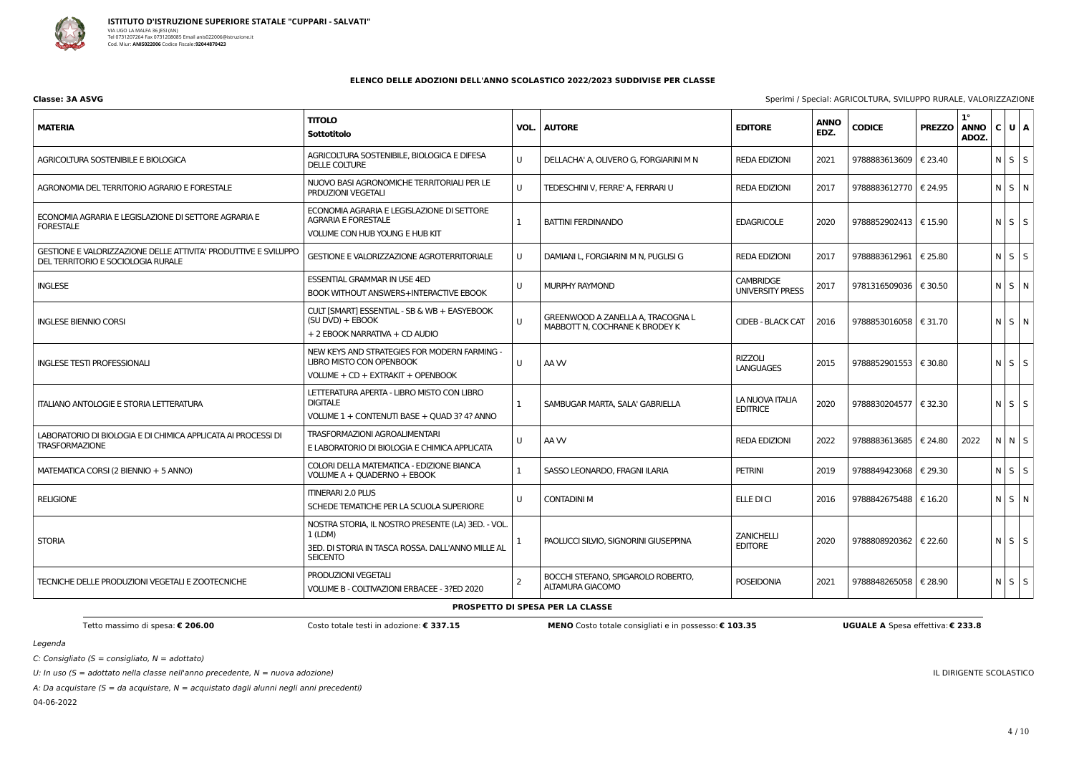

**Classe: 3A ASVG** Sperimi / Special: AGRICOLTURA, SVILUPPO RURALE, VALORIZZAZIONE

C: Consigliato ( $S =$  consigliato,  $N =$  adottato)

U: In uso ( $S =$  adottato nella classe nell'anno precedente,  $N =$  nuova adozione)

A: Da acquistare (S = da acquistare,  $N =$  acquistato dagli alunni negli anni precedenti)

04-06-2022

IL DIRIGENTE SCOLASTICO

### **ELENCO DELLE ADOZIONI DELL'ANNO SCOLASTICO 2022/2023 SUDDIVISE PER CLASSE**

| <b>MATERIA</b>                                                                                        | <b>TITOLO</b><br><b>Sottotitolo</b>                                                                                                    | VOL.           | <b>AUTORE</b>                                                       | <b>EDITORE</b>                              | <b>ANNO</b><br>EDZ. | <b>CODICE</b>           | <b>PREZZO</b> | $1^{\circ}$<br><b>ANNO</b><br>ADOZ. | C U A       |
|-------------------------------------------------------------------------------------------------------|----------------------------------------------------------------------------------------------------------------------------------------|----------------|---------------------------------------------------------------------|---------------------------------------------|---------------------|-------------------------|---------------|-------------------------------------|-------------|
| AGRICOLTURA SOSTENIBILE E BIOLOGICA                                                                   | AGRICOLTURA SOSTENIBILE, BIOLOGICA E DIFESA<br><b>DELLE COLTURE</b>                                                                    | U              | DELLACHA' A, OLIVERO G, FORGIARINI M N                              | <b>REDA EDIZIONI</b>                        | 2021                | 9788883613609   € 23.40 |               |                                     | $N$ $S$ $S$ |
| AGRONOMIA DEL TERRITORIO AGRARIO E FORESTALE                                                          | NUOVO BASI AGRONOMICHE TERRITORIALI PER LE<br>PRDUZIONI VEGETALI                                                                       | U              | TEDESCHINI V, FERRE' A, FERRARI U                                   | <b>REDA EDIZIONI</b>                        | 2017                | 9788883612770   € 24.95 |               |                                     | $N$ $S$ $N$ |
| ECONOMIA AGRARIA E LEGISLAZIONE DI SETTORE AGRARIA E<br><b>FORESTALE</b>                              | ECONOMIA AGRARIA E LEGISLAZIONE DI SETTORE<br><b>AGRARIA E FORESTALE</b><br>VOLUME CON HUB YOUNG E HUB KIT                             | $\mathbf{1}$   | <b>BATTINI FERDINANDO</b>                                           | <b>EDAGRICOLE</b>                           | 2020                | 9788852902413   € 15.90 |               |                                     | $N$ $S$ $S$ |
| GESTIONE E VALORIZZAZIONE DELLE ATTIVITA' PRODUTTIVE E SVILUPPO<br>DEL TERRITORIO E SOCIOLOGIA RURALE | GESTIONE E VALORIZZAZIONE AGROTERRITORIALE                                                                                             | U              | DAMIANI L, FORGIARINI M N, PUGLISI G                                | <b>REDA EDIZIONI</b>                        | 2017                | 9788883612961           | € 25.80       |                                     | $N$ $S$ $S$ |
| <b>INGLESE</b>                                                                                        | <b>ESSENTIAL GRAMMAR IN USE 4ED</b><br><b>BOOK WITHOUT ANSWERS+INTERACTIVE EBOOK</b>                                                   | U              | MURPHY RAYMOND                                                      | <b>CAMBRIDGE</b><br><b>UNIVERSITY PRESS</b> | 2017                | 9781316509036   € 30.50 |               |                                     | N S N       |
| <b>INGLESE BIENNIO CORSI</b>                                                                          | CULT [SMART] ESSENTIAL - SB & WB + EASYEBOOK<br>(SU DVD) + EBOOK<br>+ 2 EBOOK NARRATIVA + CD AUDIO                                     | $\sf U$        | GREENWOOD A ZANELLA A, TRACOGNA L<br>MABBOTT N, COCHRANE K BRODEY K | <b>CIDEB - BLACK CAT</b>                    | 2016                | 9788853016058   € 31.70 |               |                                     | N S N       |
| <b>INGLESE TESTI PROFESSIONALI</b>                                                                    | NEW KEYS AND STRATEGIES FOR MODERN FARMING -<br><b>LIBRO MISTO CON OPENBOOK</b><br>VOLUME + CD + EXTRAKIT + OPENBOOK                   | U              | AA W                                                                | <b>RIZZOLI</b><br><b>LANGUAGES</b>          | 2015                | 9788852901553   € 30.80 |               |                                     | $N$ $S$ $S$ |
| <b>ITALIANO ANTOLOGIE E STORIA LETTERATURA</b>                                                        | LETTERATURA APERTA - LIBRO MISTO CON LIBRO<br><b>DIGITALE</b><br>VOLUME 1 + CONTENUTI BASE + QUAD 3? 4? ANNO                           | 1              | SAMBUGAR MARTA, SALA' GABRIELLA                                     | LA NUOVA ITALIA<br><b>EDITRICE</b>          | 2020                | 9788830204577   € 32.30 |               |                                     | $N$ $S$ $S$ |
| LABORATORIO DI BIOLOGIA E DI CHIMICA APPLICATA AI PROCESSI DI<br><b>TRASFORMAZIONE</b>                | <b>TRASFORMAZIONI AGROALIMENTARI</b><br>E LABORATORIO DI BIOLOGIA E CHIMICA APPLICATA                                                  | U              | AA W                                                                | <b>REDA EDIZIONI</b>                        | 2022                | 9788883613685   € 24.80 |               | 2022                                | NNS         |
| MATEMATICA CORSI (2 BIENNIO + 5 ANNO)                                                                 | COLORI DELLA MATEMATICA - EDIZIONE BIANCA<br>VOLUME A + QUADERNO + EBOOK                                                               | $\mathbf{1}$   | SASSO LEONARDO, FRAGNI ILARIA                                       | <b>PETRINI</b>                              | 2019                | 9788849423068   € 29.30 |               |                                     | $N$ $S$ $S$ |
| <b>RELIGIONE</b>                                                                                      | <b>ITINERARI 2.0 PLUS</b><br>SCHEDE TEMATICHE PER LA SCUOLA SUPERIORE                                                                  | U              | <b>CONTADINI M</b>                                                  | ELLE DI CI                                  | 2016                | 9788842675488   € 16.20 |               |                                     | N S N       |
| <b>STORIA</b>                                                                                         | NOSTRA STORIA, IL NOSTRO PRESENTE (LA) 3ED. - VOL<br>$1$ (LDM)<br>3ED. DI STORIA IN TASCA ROSSA. DALL'ANNO MILLE AL<br><b>SEICENTO</b> | -1             | PAOLUCCI SILVIO, SIGNORINI GIUSEPPINA                               | <b>ZANICHELLI</b><br><b>EDITORE</b>         | 2020                | 9788808920362   € 22.60 |               |                                     | $N$ $S$ $S$ |
| TECNICHE DELLE PRODUZIONI VEGETALI E ZOOTECNICHE                                                      | PRODUZIONI VEGETALI<br>VOLUME B - COLTIVAZIONI ERBACEE - 3?ED 2020                                                                     | $\overline{2}$ | BOCCHI STEFANO, SPIGAROLO ROBERTO,<br><b>ALTAMURA GIACOMO</b>       | <b>POSEIDONIA</b>                           | 2021                | 9788848265058   € 28.90 |               |                                     | $N$ $S$ $S$ |

## **PROSPETTO DI SPESA PER LA CLASSE**

Tetto massimo di spesa: € 206.00 Costo MENO Costo totale consigliati e in possesso: € 103.35 UGUALE A Spesa effettiva: € 233.8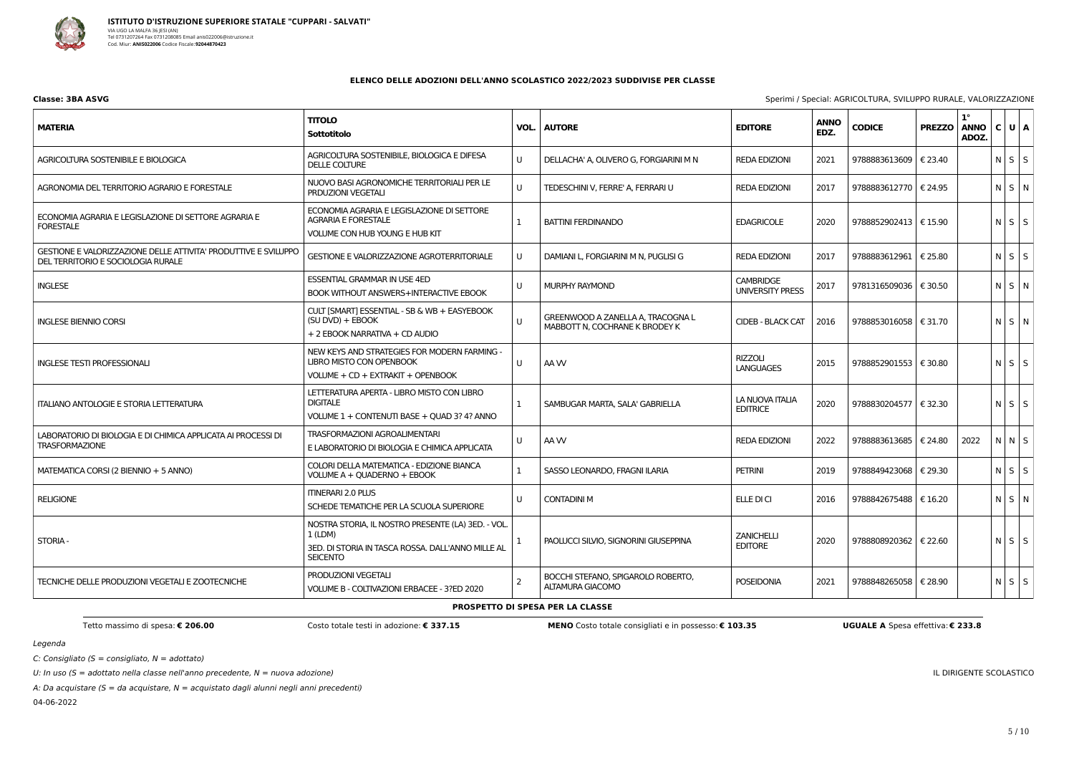

**Classe: 3BA ASVG** Sperimi / Special: AGRICOLTURA, SVILUPPO RURALE, VALORIZZAZIONE

C: Consigliato ( $S =$  consigliato,  $N =$  adottato)

U: In uso ( $S =$  adottato nella classe nell'anno precedente,  $N =$  nuova adozione)

A: Da acquistare (S = da acquistare,  $N =$  acquistato dagli alunni negli anni precedenti)

04-06-2022

#### IL DIRIGENTE SCOLASTICO

### **ELENCO DELLE ADOZIONI DELL'ANNO SCOLASTICO 2022/2023 SUDDIVISE PER CLASSE**

| <b>MATERIA</b>                                                                                        | <b>TITOLO</b><br><b>Sottotitolo</b>                                                                                                  | VOL.           | <b>AUTORE</b>                                                       | <b>EDITORE</b>                       | <b>ANNO</b><br>EDZ. | <b>CODICE</b>           | <b>PREZZO</b> | $1^{\circ}$<br><b>ANNO</b><br>ADOZ. | C U A       |
|-------------------------------------------------------------------------------------------------------|--------------------------------------------------------------------------------------------------------------------------------------|----------------|---------------------------------------------------------------------|--------------------------------------|---------------------|-------------------------|---------------|-------------------------------------|-------------|
| AGRICOLTURA SOSTENIBILE E BIOLOGICA                                                                   | AGRICOLTURA SOSTENIBILE, BIOLOGICA E DIFESA<br>DELLE COLTURE                                                                         | U              | DELLACHA' A, OLIVERO G, FORGIARINI M N                              | <b>REDA EDIZIONI</b>                 | 2021                | 9788883613609   € 23.40 |               |                                     | $N$ $S$ $S$ |
| AGRONOMIA DEL TERRITORIO AGRARIO E FORESTALE                                                          | NUOVO BASI AGRONOMICHE TERRITORIALI PER LE<br>PRDUZIONI VEGETALI                                                                     | $\sf U$        | TEDESCHINI V, FERRE' A, FERRARI U                                   | <b>REDA EDIZIONI</b>                 | 2017                | 9788883612770   € 24.95 |               |                                     | N S N       |
| ECONOMIA AGRARIA E LEGISLAZIONE DI SETTORE AGRARIA E<br><b>FORESTALE</b>                              | ECONOMIA AGRARIA E LEGISLAZIONE DI SETTORE<br><b>AGRARIA E FORESTALE</b><br>VOLUME CON HUB YOUNG E HUB KIT                           | -1             | <b>BATTINI FERDINANDO</b>                                           | <b>EDAGRICOLE</b>                    | 2020                | 9788852902413   € 15.90 |               |                                     | $N$ $S$ $S$ |
| GESTIONE E VALORIZZAZIONE DELLE ATTIVITA' PRODUTTIVE E SVILUPPO<br>DEL TERRITORIO E SOCIOLOGIA RURALE | GESTIONE E VALORIZZAZIONE AGROTERRITORIALE                                                                                           | U              | DAMIANI L, FORGIARINI M N, PUGLISI G                                | <b>REDA EDIZIONI</b>                 | 2017                | 9788883612961   € 25.80 |               |                                     | $N$ $S$ $S$ |
| <b>INGLESE</b>                                                                                        | <b>ESSENTIAL GRAMMAR IN USE 4ED</b><br><b>BOOK WITHOUT ANSWERS+INTERACTIVE EBOOK</b>                                                 | U              | MURPHY RAYMOND                                                      | <b>CAMBRIDGE</b><br>UNIVERSITY PRESS | 2017                | 9781316509036   € 30.50 |               |                                     | N S N       |
| <b>INGLESE BIENNIO CORSI</b>                                                                          | CULT [SMART] ESSENTIAL - SB & WB + EASYEBOOK<br>(SU DVD) + EBOOK<br>+ 2 EBOOK NARRATIVA + CD AUDIO                                   | U              | GREENWOOD A ZANELLA A, TRACOGNA L<br>MABBOTT N, COCHRANE K BRODEY K | <b>CIDEB - BLACK CAT</b>             | 2016                | 9788853016058   € 31.70 |               |                                     | N S N       |
| <b>INGLESE TESTI PROFESSIONALI</b>                                                                    | NEW KEYS AND STRATEGIES FOR MODERN FARMING -<br><b>LIBRO MISTO CON OPENBOOK</b><br>VOLUME + CD + EXTRAKIT + OPENBOOK                 | U              | AA W                                                                | <b>RIZZOLI</b><br><b>LANGUAGES</b>   | 2015                | 9788852901553   € 30.80 |               |                                     | $N$ $S$ $S$ |
| <b>ITALIANO ANTOLOGIE E STORIA LETTERATURA</b>                                                        | LETTERATURA APERTA - LIBRO MISTO CON LIBRO<br><b>DIGITALE</b><br>VOLUME 1 + CONTENUTI BASE + QUAD 3? 4? ANNO                         | 1              | SAMBUGAR MARTA, SALA' GABRIELLA                                     | LA NUOVA ITALIA<br><b>EDITRICE</b>   | 2020                | 9788830204577   € 32.30 |               |                                     | $N$ $S$ $S$ |
| LABORATORIO DI BIOLOGIA E DI CHIMICA APPLICATA AI PROCESSI DI<br><b>TRASFORMAZIONE</b>                | TRASFORMAZIONI AGROALIMENTARI<br>E LABORATORIO DI BIOLOGIA E CHIMICA APPLICATA                                                       | U              | AA W                                                                | <b>REDA EDIZIONI</b>                 | 2022                | 9788883613685   € 24.80 |               | 2022                                | N N S       |
| MATEMATICA CORSI (2 BIENNIO + 5 ANNO)                                                                 | COLORI DELLA MATEMATICA - EDIZIONE BIANCA<br>VOLUME A + QUADERNO + EBOOK                                                             | 1              | SASSO LEONARDO, FRAGNI ILARIA                                       | <b>PETRINI</b>                       | 2019                | 9788849423068   € 29.30 |               |                                     | $N$ $S$ $S$ |
| <b>RELIGIONE</b>                                                                                      | <b>ITINERARI 2.0 PLUS</b><br>SCHEDE TEMATICHE PER LA SCUOLA SUPERIORE                                                                | U              | <b>CONTADINI M</b>                                                  | ELLE DI CI                           | 2016                | 9788842675488   € 16.20 |               |                                     | $N$ $S$ $N$ |
| <b>STORIA -</b>                                                                                       | NOSTRA STORIA, IL NOSTRO PRESENTE (LA) 3ED. - VOL.<br>1(LDM)<br>3ED. DI STORIA IN TASCA ROSSA. DALL'ANNO MILLE AL<br><b>SEICENTO</b> | $\mathbf{1}$   | PAOLUCCI SILVIO, SIGNORINI GIUSEPPINA                               | <b>ZANICHELLI</b><br><b>EDITORE</b>  | 2020                | 9788808920362   € 22.60 |               |                                     | $N$ $S$ $S$ |
| TECNICHE DELLE PRODUZIONI VEGETALI E ZOOTECNICHE                                                      | PRODUZIONI VEGETALI<br>VOLUME B - COLTIVAZIONI ERBACEE - 3?ED 2020                                                                   | $\overline{2}$ | BOCCHI STEFANO, SPIGAROLO ROBERTO,<br>ALTAMURA GIACOMO              | <b>POSEIDONIA</b>                    | 2021                | 9788848265058   € 28.90 |               |                                     | $N$ $S$ $S$ |

# **PROSPETTO DI SPESA PER LA CLASSE**

Tetto massimo di spesa: € 206.00 Costo MENO Costo totale consigliati e in possesso: € 103.35 UGUALE A Spesa effettiva: € 233.8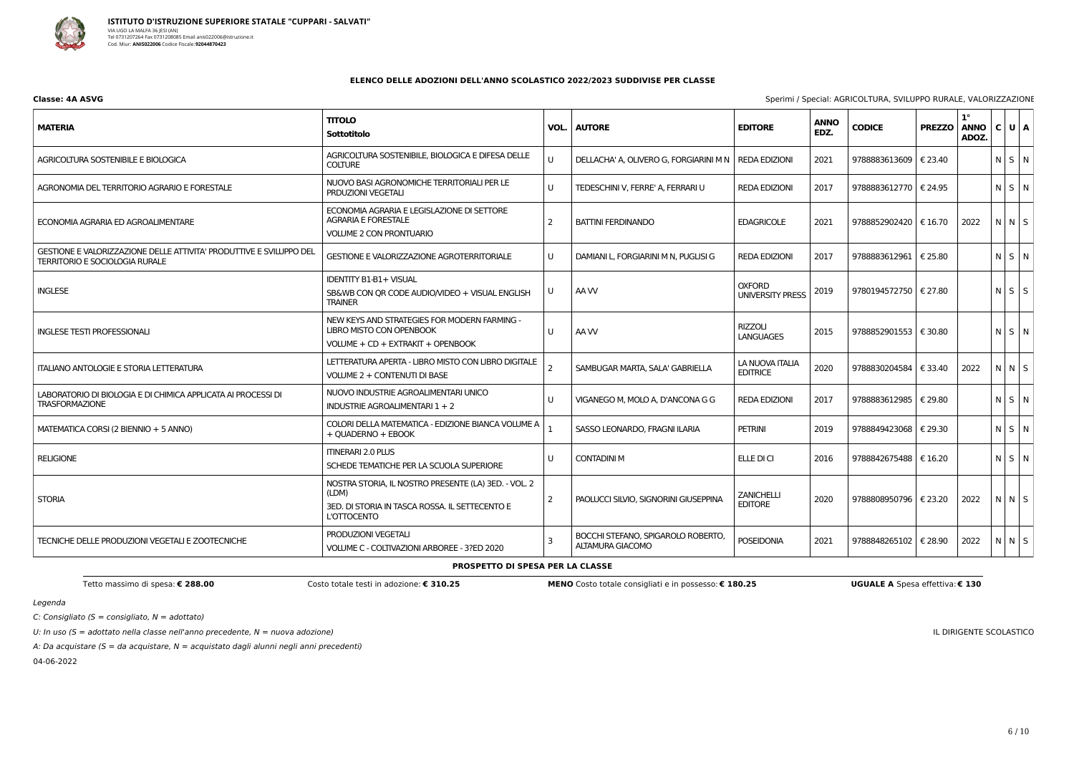

| Classe: 4A ASVG | Sperimi / Special: AGRICOLTURA, SVILUPPO RURALE, VALORIZZAZIONE |
|-----------------|-----------------------------------------------------------------|
|-----------------|-----------------------------------------------------------------|

C: Consigliato ( $S =$  consigliato,  $N =$  adottato)

U: In uso ( $S =$  adottato nella classe nell'anno precedente,  $N =$  nuova adozione)

A: Da acquistare ( $S = da$  acquistare,  $N = ac$ quistato dagli alunni negli anni precedenti)

04-06-2022

IL DIRIGENTE SCOLASTICO

### **ELENCO DELLE ADOZIONI DELL'ANNO SCOLASTICO 2022/2023 SUDDIVISE PER CLASSE**

| <b>MATERIA</b>                                                                                               | <b>TITOLO</b><br><b>Sottotitolo</b>                                                                                                   | VOL.<br><b>AUTORE</b> |                                                        | <b>EDITORE</b>                           | <b>ANNO</b><br>EDZ. | <b>CODICE</b>           | <b>PREZZO</b> | $1^{\circ}$<br><b>ANNO</b><br>ADOZ. | C U A       |
|--------------------------------------------------------------------------------------------------------------|---------------------------------------------------------------------------------------------------------------------------------------|-----------------------|--------------------------------------------------------|------------------------------------------|---------------------|-------------------------|---------------|-------------------------------------|-------------|
| AGRICOLTURA SOSTENIBILE E BIOLOGICA                                                                          | AGRICOLTURA SOSTENIBILE, BIOLOGICA E DIFESA DELLE<br><b>COLTURE</b>                                                                   | U                     | DELLACHA' A, OLIVERO G, FORGIARINI M N   REDA EDIZIONI |                                          | 2021                | 9788883613609           | € 23.40       |                                     | NSN         |
| AGRONOMIA DEL TERRITORIO AGRARIO E FORESTALE                                                                 | NUOVO BASI AGRONOMICHE TERRITORIALI PER LE<br><b>PRDUZIONI VEGETALI</b>                                                               | $\cup$                | TEDESCHINI V, FERRE' A, FERRARI U                      | <b>REDA EDIZIONI</b>                     | 2017                | 9788883612770           | € 24.95       |                                     | N S N       |
| ECONOMIA AGRARIA ED AGROALIMENTARE                                                                           | ECONOMIA AGRARIA E LEGISLAZIONE DI SETTORE<br><b>AGRARIA E FORESTALE</b><br><b>VOLUME 2 CON PRONTUARIO</b>                            | $\overline{2}$        | <b>BATTINI FERDINANDO</b>                              | <b>EDAGRICOLE</b>                        | 2021                | 9788852902420   € 16.70 |               | 2022                                | $N$ $N$ $S$ |
| GESTIONE E VALORIZZAZIONE DELLE ATTIVITA' PRODUTTIVE E SVILUPPO DEL<br><b>TERRITORIO E SOCIOLOGIA RURALE</b> | <b>GESTIONE E VALORIZZAZIONE AGROTERRITORIALE</b>                                                                                     | U                     | DAMIANI L, FORGIARINI M N, PUGLISI G                   | <b>REDA EDIZIONI</b>                     | 2017                | 9788883612961           | € 25.80       |                                     | $N$ $S$ $N$ |
| <b>INGLESE</b>                                                                                               | <b>IDENTITY B1-B1+ VISUAL</b><br>SB&WB CON QR CODE AUDIO/VIDEO + VISUAL ENGLISH<br><b>TRAINER</b>                                     | U                     | AA W                                                   | <b>OXFORD</b><br><b>UNIVERSITY PRESS</b> | 2019                | 9780194572750   € 27.80 |               |                                     | $N$ $S$ $S$ |
| <b>INGLESE TESTI PROFESSIONALI</b>                                                                           | NEW KEYS AND STRATEGIES FOR MODERN FARMING -<br>LIBRO MISTO CON OPENBOOK<br>VOLUME + CD + EXTRAKIT + OPENBOOK                         | $\cup$                | AA W                                                   | <b>RIZZOLI</b><br><b>LANGUAGES</b>       | 2015                | 9788852901553   € 30.80 |               |                                     | $N$ $S$ $N$ |
| <b>ITALIANO ANTOLOGIE E STORIA LETTERATURA</b>                                                               | LETTERATURA APERTA - LIBRO MISTO CON LIBRO DIGITALE<br><b>VOLUME 2 + CONTENUTI DI BASE</b>                                            |                       | SAMBUGAR MARTA, SALA' GABRIELLA                        | LA NUOVA ITALIA<br><b>EDITRICE</b>       | 2020                | 9788830204584           | € 33.40       | 2022                                | $N$ $N$ $S$ |
| LABORATORIO DI BIOLOGIA E DI CHIMICA APPLICATA AI PROCESSI DI<br><b>TRASFORMAZIONE</b>                       | NUOVO INDUSTRIE AGROALIMENTARI UNICO<br>INDUSTRIE AGROALIMENTARI 1 + 2                                                                | U                     | VIGANEGO M, MOLO A, D'ANCONA G G                       | <b>REDA EDIZIONI</b>                     | 2017                | 9788883612985           | € 29.80       |                                     | N S N       |
| MATEMATICA CORSI (2 BIENNIO + 5 ANNO)                                                                        | COLORI DELLA MATEMATICA - EDIZIONE BIANCA VOLUME A<br>+ QUADERNO + EBOOK                                                              |                       | SASSO LEONARDO, FRAGNI ILARIA                          | <b>PETRINI</b>                           | 2019                | 9788849423068           | € 29.30       |                                     | N S N       |
| <b>RELIGIONE</b>                                                                                             | <b>ITINERARI 2.0 PLUS</b><br>SCHEDE TEMATICHE PER LA SCUOLA SUPERIORE                                                                 | U                     | <b>CONTADINI M</b>                                     | ELLE DI CI                               | 2016                | 9788842675488   € 16.20 |               |                                     | N S N       |
| <b>STORIA</b>                                                                                                | NOSTRA STORIA, IL NOSTRO PRESENTE (LA) 3ED. - VOL. 2<br>(LDM)<br>3ED. DI STORIA IN TASCA ROSSA. IL SETTECENTO E<br><b>L'OTTOCENTO</b> | -2                    | PAOLUCCI SILVIO, SIGNORINI GIUSEPPINA                  | ZANICHELLI<br><b>EDITORE</b>             | 2020                | 9788808950796   € 23.20 |               | 2022                                | NNS         |
| TECNICHE DELLE PRODUZIONI VEGETALI E ZOOTECNICHE                                                             | PRODUZIONI VEGETALI<br>VOLUME C - COLTIVAZIONI ARBOREE - 3?ED 2020                                                                    | $\overline{3}$        | BOCCHI STEFANO, SPIGAROLO ROBERTO,<br>ALTAMURA GIACOMO | <b>POSEIDONIA</b>                        | 2021                | 9788848265102   € 28.90 |               | 2022                                | $N$ $N$ $S$ |

### **PROSPETTO DI SPESA PER LA CLASSE**

Tetto massimo di spesa: € 288.00 Costo MENO Costo totale consigliati e in possesso: € 180.25 UGUALE A Spesa effettiva: € 130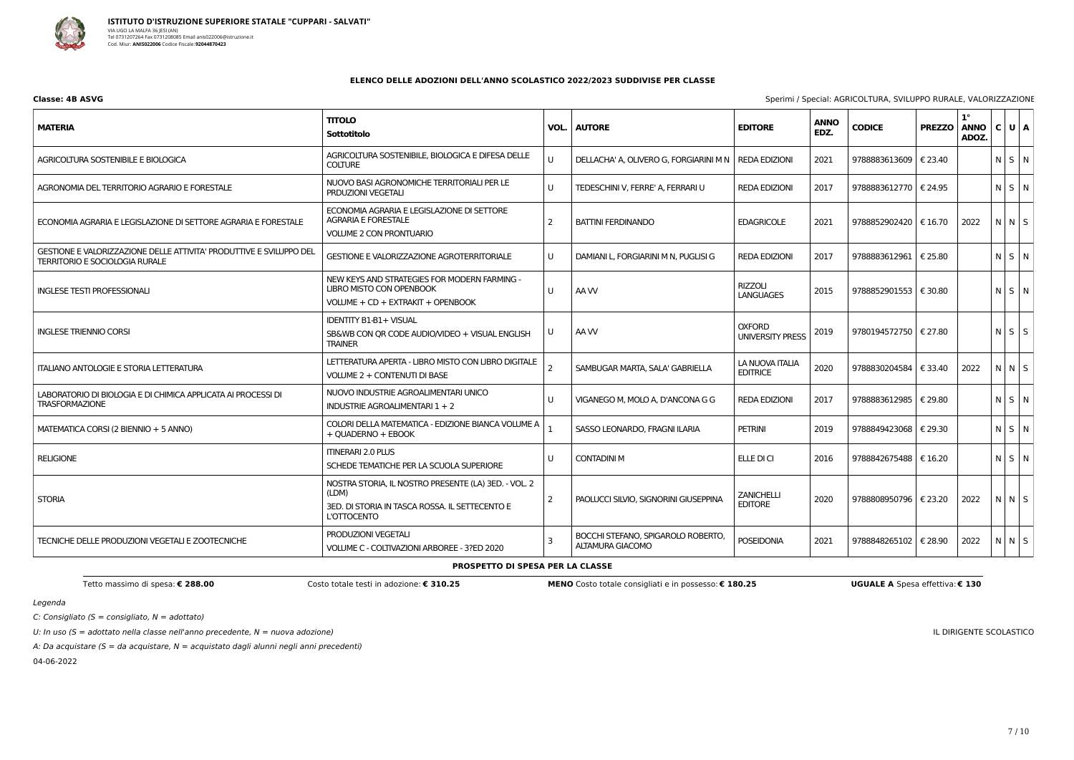

| Classe: 4B ASVG | Sperimi / Special: AGRICOLTURA, SVILUPPO RURALE, VALORIZZAZIONE |
|-----------------|-----------------------------------------------------------------|
|-----------------|-----------------------------------------------------------------|

C: Consigliato ( $S =$  consigliato,  $N =$  adottato)

U: In uso ( $S =$  adottato nella classe nell'anno precedente,  $N =$  nuova adozione)

A: Da acquistare ( $S = da$  acquistare,  $N = ac$ quistato dagli alunni negli anni precedenti)

04-06-2022

IL DIRIGENTE SCOLASTICO

### **ELENCO DELLE ADOZIONI DELL'ANNO SCOLASTICO 2022/2023 SUDDIVISE PER CLASSE**

| <b>MATERIA</b>                                                                                               | <b>TITOLO</b><br><b>Sottotitolo</b>                                                                                                   | VOL.           | <b>AUTORE</b>                                          | <b>EDITORE</b>                           | <b>ANNO</b><br>EDZ. | <b>CODICE</b>           | <b>PREZZO</b> | $1^{\circ}$<br><b>ANNO</b><br>ADOZ. | C U A       |
|--------------------------------------------------------------------------------------------------------------|---------------------------------------------------------------------------------------------------------------------------------------|----------------|--------------------------------------------------------|------------------------------------------|---------------------|-------------------------|---------------|-------------------------------------|-------------|
| AGRICOLTURA SOSTENIBILE E BIOLOGICA                                                                          | AGRICOLTURA SOSTENIBILE, BIOLOGICA E DIFESA DELLE<br><b>COLTURE</b>                                                                   | U              | DELLACHA' A, OLIVERO G, FORGIARINI M N                 | <b>REDA EDIZIONI</b>                     | 2021                | 9788883613609           | € 23.40       |                                     | N S N       |
| AGRONOMIA DEL TERRITORIO AGRARIO E FORESTALE                                                                 | NUOVO BASI AGRONOMICHE TERRITORIALI PER LE<br><b>PRDUZIONI VEGETALI</b>                                                               | U              | TEDESCHINI V, FERRE' A, FERRARI U                      | <b>REDA EDIZIONI</b>                     | 2017                | 9788883612770           | € 24.95       |                                     | $N$ $S$ $N$ |
| ECONOMIA AGRARIA E LEGISLAZIONE DI SETTORE AGRARIA E FORESTALE                                               | ECONOMIA AGRARIA E LEGISLAZIONE DI SETTORE<br><b>AGRARIA E FORESTALE</b><br><b>VOLUME 2 CON PRONTUARIO</b>                            | -2             | <b>BATTINI FERDINANDO</b>                              | <b>EDAGRICOLE</b>                        | 2021                | 9788852902420   € 16.70 |               | 2022                                | N N S       |
| GESTIONE E VALORIZZAZIONE DELLE ATTIVITA' PRODUTTIVE E SVILUPPO DEL<br><b>TERRITORIO E SOCIOLOGIA RURALE</b> | <b>GESTIONE E VALORIZZAZIONE AGROTERRITORIALE</b>                                                                                     | U              | DAMIANI L, FORGIARINI M N, PUGLISI G                   | <b>REDA EDIZIONI</b>                     | 2017                | 9788883612961           | € 25.80       |                                     | N S N       |
| <b>INGLESE TESTI PROFESSIONALI</b>                                                                           | NEW KEYS AND STRATEGIES FOR MODERN FARMING -<br><b>LIBRO MISTO CON OPENBOOK</b><br>VOLUME + CD + EXTRAKIT + OPENBOOK                  | U              | AA W                                                   | <b>RIZZOLI</b><br><b>LANGUAGES</b>       | 2015                | 9788852901553   € 30.80 |               |                                     | N S N       |
| <b>INGLESE TRIENNIO CORSI</b>                                                                                | <b>IDENTITY B1-B1+ VISUAL</b><br>SB&WB CON QR CODE AUDIO/VIDEO + VISUAL ENGLISH<br><b>TRAINER</b>                                     | U              | AA W                                                   | <b>OXFORD</b><br><b>UNIVERSITY PRESS</b> | 2019                | 9780194572750   € 27.80 |               |                                     | $N$ $S$ $S$ |
| <b>ITALIANO ANTOLOGIE E STORIA LETTERATURA</b>                                                               | LETTERATURA APERTA - LIBRO MISTO CON LIBRO DIGITALE<br>VOLUME 2 + CONTENUTI DI BASE                                                   | $\overline{2}$ | SAMBUGAR MARTA, SALA' GABRIELLA                        | LA NUOVA ITALIA<br><b>EDITRICE</b>       | 2020                | 9788830204584           | € 33.40       | 2022                                | N N S       |
| LABORATORIO DI BIOLOGIA E DI CHIMICA APPLICATA AI PROCESSI DI<br><b>TRASFORMAZIONE</b>                       | NUOVO INDUSTRIE AGROALIMENTARI UNICO<br>INDUSTRIE AGROALIMENTARI 1 + 2                                                                | U              | VIGANEGO M, MOLO A, D'ANCONA G G                       | <b>REDA EDIZIONI</b>                     | 2017                | 9788883612985           | € 29.80       |                                     | $N$ $S$ $N$ |
| MATEMATICA CORSI (2 BIENNIO + 5 ANNO)                                                                        | COLORI DELLA MATEMATICA - EDIZIONE BIANCA VOLUME A<br>+ OUADERNO + EBOOK                                                              |                | SASSO LEONARDO, FRAGNI ILARIA                          | <b>PETRINI</b>                           | 2019                | 9788849423068           | € 29.30       |                                     | $N$ $S$ $N$ |
| <b>RELIGIONE</b>                                                                                             | <b>ITINERARI 2.0 PLUS</b><br>SCHEDE TEMATICHE PER LA SCUOLA SUPERIORE                                                                 | U              | <b>CONTADINI M</b>                                     | ELLE DI CI                               | 2016                | 9788842675488   € 16.20 |               |                                     | N S N       |
| <b>STORIA</b>                                                                                                | NOSTRA STORIA, IL NOSTRO PRESENTE (LA) 3ED. - VOL. 2<br>(LDM)<br>3ED. DI STORIA IN TASCA ROSSA. IL SETTECENTO E<br><b>L'OTTOCENTO</b> | -2             | PAOLUCCI SILVIO, SIGNORINI GIUSEPPINA                  | <b>ZANICHELLI</b><br><b>EDITORE</b>      | 2020                | 9788808950796           | € 23.20       | 2022                                | $N$ $N$ $S$ |
| TECNICHE DELLE PRODUZIONI VEGETALI E ZOOTECNICHE                                                             | PRODUZIONI VEGETALI<br>VOLUME C - COLTIVAZIONI ARBOREE - 3?ED 2020                                                                    | 3              | BOCCHI STEFANO, SPIGAROLO ROBERTO,<br>ALTAMURA GIACOMO | <b>POSEIDONIA</b>                        | 2021                | 9788848265102   € 28.90 |               | 2022                                | $N$ N S     |

### **PROSPETTO DI SPESA PER LA CLASSE**

Tetto massimo di spesa: € 288.00 Costo MENO Costo totale consigliati e in possesso: € 180.25 UGUALE A Spesa effettiva: € 130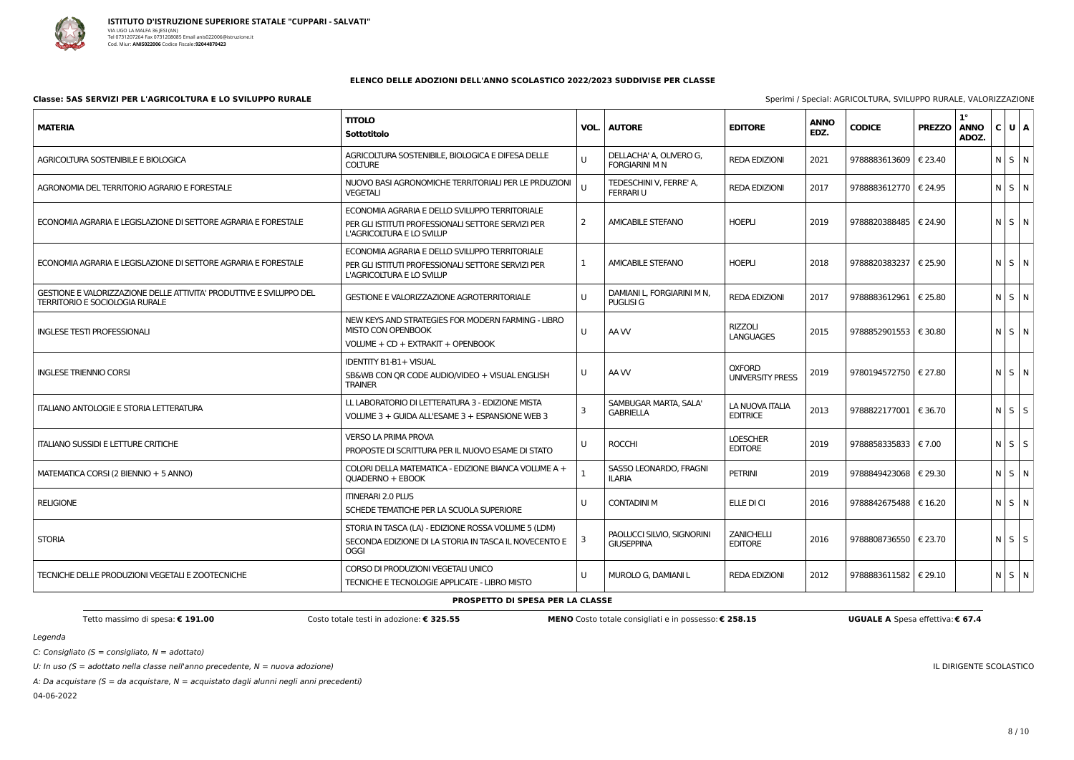

C: Consigliato ( $S =$  consigliato,  $N =$  adottato)

U: In uso ( $S =$  adottato nella classe nell'anno precedente,  $N =$  nuova adozione)

A: Da acquistare ( $S = da$  acquistare,  $N = ac$ quistato dagli alunni negli anni precedenti)

04-06-2022

| ecial: AGRICOLTURA, SVILUPPO RURALE, VALORIZZAZIONE |  |  |
|-----------------------------------------------------|--|--|
|                                                     |  |  |

IL DIRIGENTE SCOLASTICO

### **ELENCO DELLE ADOZIONI DELL'ANNO SCOLASTICO 2022/2023 SUDDIVISE PER CLASSE**

### **Classe: 5AS SERVIZI PER L'AGRICOLTURA E LO SVILUPPO RURALE** Specialità del segundo del segundo del superiori del segundo del segundo del segundo del segundo del segundo del segundo de Specimi / Specialità / Specialità / S

| <b>MATERIA</b>                                                                                               | <b>TITOLO</b><br>Sottotitolo                                                                                                      | VOL.         | <b>AUTORE</b>                                    | <b>EDITORE</b>                           | <b>ANNO</b><br>EDZ. | <b>CODICE</b>           | <b>PREZZO</b> | $1^{\circ}$<br><b>ANNO</b><br>ADOZ. | C U A             |             |
|--------------------------------------------------------------------------------------------------------------|-----------------------------------------------------------------------------------------------------------------------------------|--------------|--------------------------------------------------|------------------------------------------|---------------------|-------------------------|---------------|-------------------------------------|-------------------|-------------|
| AGRICOLTURA SOSTENIBILE E BIOLOGICA                                                                          | AGRICOLTURA SOSTENIBILE, BIOLOGICA E DIFESA DELLE<br><b>COLTURE</b>                                                               | U            | DELLACHA' A, OLIVERO G,<br><b>FORGIARINI M N</b> | <b>REDA EDIZIONI</b>                     | 2021                | 9788883613609   € 23.40 |               |                                     |                   | N S N       |
| AGRONOMIA DEL TERRITORIO AGRARIO E FORESTALE                                                                 | NUOVO BASI AGRONOMICHE TERRITORIALI PER LE PRDUZIONI<br><b>VEGETALI</b>                                                           | $\mathbf{U}$ | TEDESCHINI V, FERRE' A,<br><b>FERRARIU</b>       | <b>REDA EDIZIONI</b>                     | 2017                | 9788883612770   € 24.95 |               |                                     | $N$ $S$ $N$       |             |
| ECONOMIA AGRARIA E LEGISLAZIONE DI SETTORE AGRARIA E FORESTALE                                               | ECONOMIA AGRARIA E DELLO SVILUPPO TERRITORIALE<br>PER GLI ISTITUTI PROFESSIONALI SETTORE SERVIZI PER<br>L'AGRICOLTURA E LO SVILUP | 2            | <b>AMICABILE STEFANO</b>                         | <b>HOEPLI</b>                            | 2019                | 9788820388485   € 24.90 |               |                                     |                   | N S N       |
| ECONOMIA AGRARIA E LEGISLAZIONE DI SETTORE AGRARIA E FORESTALE                                               | ECONOMIA AGRARIA E DELLO SVILUPPO TERRITORIALE<br>PER GLI ISTITUTI PROFESSIONALI SETTORE SERVIZI PER<br>L'AGRICOLTURA E LO SVILUP |              | <b>AMICABILE STEFANO</b>                         | <b>HOEPLI</b>                            | 2018                | 9788820383237   € 25.90 |               |                                     | $N$ $S$ $N$       |             |
| GESTIONE E VALORIZZAZIONE DELLE ATTIVITA' PRODUTTIVE E SVILUPPO DEL<br><b>TERRITORIO E SOCIOLOGIA RURALE</b> | <b>GESTIONE E VALORIZZAZIONE AGROTERRITORIALE</b>                                                                                 | U            | DAMIANI L, FORGIARINI M N,<br><b>PUGLISI G</b>   | <b>REDA EDIZIONI</b>                     | 2017                | 9788883612961           | € 25.80       |                                     |                   | N S N       |
| <b>INGLESE TESTI PROFESSIONALI</b>                                                                           | NEW KEYS AND STRATEGIES FOR MODERN FARMING - LIBRO<br>MISTO CON OPENBOOK<br>VOLUME + CD + EXTRAKIT + OPENBOOK                     | U            | AA W                                             | <b>RIZZOLI</b><br><b>LANGUAGES</b>       | 2015                | 9788852901553   € 30.80 |               |                                     | $N$ $S$ $N$       |             |
| <b>INGLESE TRIENNIO CORSI</b>                                                                                | <b>IDENTITY B1-B1+ VISUAL</b><br>SB&WB CON QR CODE AUDIO/VIDEO + VISUAL ENGLISH<br><b>TRAINER</b>                                 | U            | AA W                                             | <b>OXFORD</b><br><b>UNIVERSITY PRESS</b> | 2019                | 9780194572750   € 27.80 |               |                                     |                   | N S N       |
| <b>ITALIANO ANTOLOGIE E STORIA LETTERATURA</b>                                                               | LL LABORATORIO DI LETTERATURA 3 - EDIZIONE MISTA<br>VOLUME 3 + GUIDA ALL'ESAME 3 + ESPANSIONE WEB 3                               | 3            | SAMBUGAR MARTA, SALA'<br><b>GABRIELLA</b>        | LA NUOVA ITALIA<br><b>EDITRICE</b>       | 2013                | 9788822177001           | € 36.70       |                                     | $N$ $S$ $S$       |             |
| <b>ITALIANO SUSSIDI E LETTURE CRITICHE</b>                                                                   | <b>VERSO LA PRIMA PROVA</b><br>PROPOSTE DI SCRITTURA PER IL NUOVO ESAME DI STATO                                                  | U            | <b>ROCCHI</b>                                    | <b>LOESCHER</b><br><b>EDITORE</b>        | 2019                | 9788858335833   € 7.00  |               |                                     |                   | $N$ $S$ $S$ |
| MATEMATICA CORSI (2 BIENNIO + 5 ANNO)                                                                        | COLORI DELLA MATEMATICA - EDIZIONE BIANCA VOLUME A +<br>QUADERNO + EBOOK                                                          |              | SASSO LEONARDO, FRAGNI<br><b>ILARIA</b>          | <b>PETRINI</b>                           | 2019                | 9788849423068   € 29.30 |               |                                     |                   | N S N       |
| <b>RELIGIONE</b>                                                                                             | <b>ITINERARI 2.0 PLUS</b><br>SCHEDE TEMATICHE PER LA SCUOLA SUPERIORE                                                             | U            | <b>CONTADINI M</b>                               | ELLE DI CI                               | 2016                | 9788842675488   € 16.20 |               |                                     |                   | N S N       |
| <b>STORIA</b>                                                                                                | STORIA IN TASCA (LA) - EDIZIONE ROSSA VOLUME 5 (LDM)<br>SECONDA EDIZIONE DI LA STORIA IN TASCA IL NOVECENTO E<br>OGGI             |              | PAOLUCCI SILVIO, SIGNORINI<br><b>GIUSEPPINA</b>  | <b>ZANICHELLI</b><br><b>EDITORE</b>      | 2016                | 9788808736550   € 23.70 |               |                                     | $N$ $S$ $S$       |             |
| TECNICHE DELLE PRODUZIONI VEGETALI E ZOOTECNICHE                                                             | CORSO DI PRODUZIONI VEGETALI UNICO<br>TECNICHE E TECNOLOGIE APPLICATE - LIBRO MISTO                                               | U            | MUROLO G, DAMIANI L                              | <b>REDA EDIZIONI</b>                     | 2012                | 9788883611582   € 29.10 |               |                                     | $N \mid S \mid N$ |             |
|                                                                                                              |                                                                                                                                   |              |                                                  |                                          |                     |                         |               |                                     |                   |             |

#### **PROSPETTO DI SPESA PER LA CLASSE**

Tetto massimo di spesa: € 191.00 Costo totale testi in adozione: € 325.55 MENO Costo totale consigliati e in possesso: € 258.15 UGUALE A Spesa effettiva: € 67.4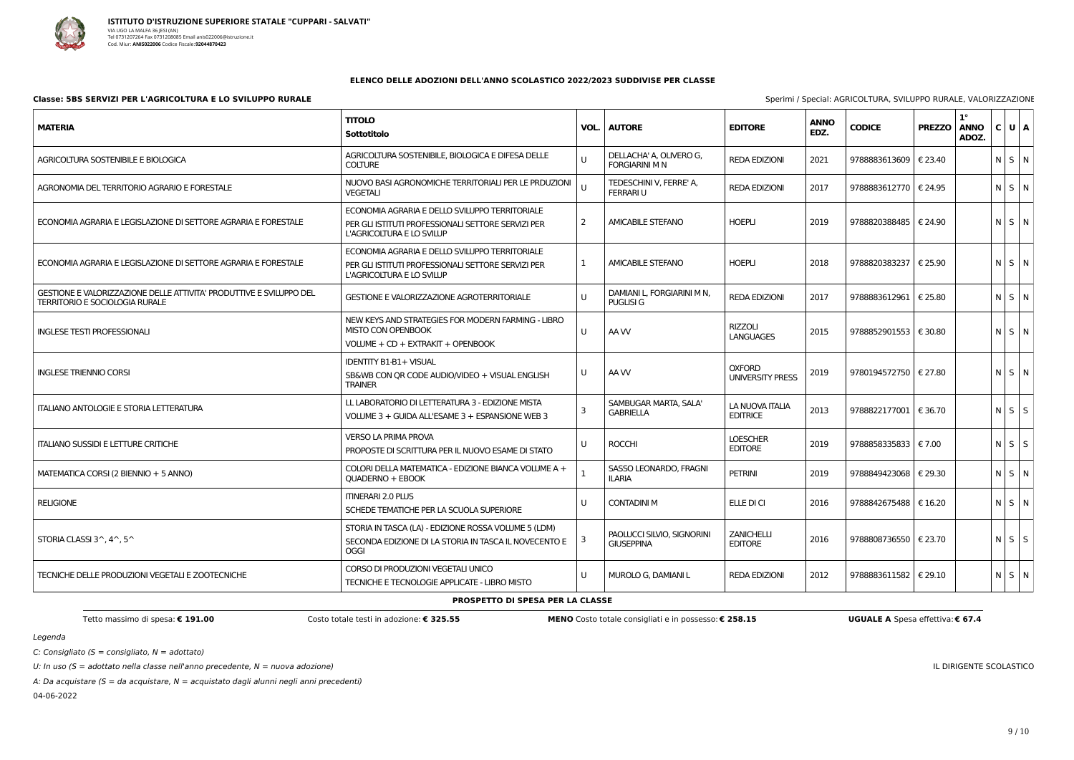

C: Consigliato ( $S =$  consigliato,  $N =$  adottato)

U: In uso ( $S =$  adottato nella classe nell'anno precedente,  $N =$  nuova adozione)

A: Da acquistare ( $S = da$  acquistare,  $N = ac$ quistato dagli alunni negli anni precedenti)

04-06-2022

| ecial: AGRICOLTURA, SVILUPPO RURALE, VALORIZZAZIONE |  |  |
|-----------------------------------------------------|--|--|
|                                                     |  |  |

IL DIRIGENTE SCOLASTICO

### **ELENCO DELLE ADOZIONI DELL'ANNO SCOLASTICO 2022/2023 SUDDIVISE PER CLASSE**

### **Classe: 5BS SERVIZI PER L'AGRICOLTURA E LO SVILUPPO RURALE** Specialità del segundo del segundo del superiori del segundo del segundo del segundo del segundo del segundo de Specialità / Specialità / Specialità / Specialità

| <b>MATERIA</b>                                                                                               | <b>TITOLO</b><br>Sottotitolo                                                                                                      | VOL.         | <b>AUTORE</b>                                    | <b>EDITORE</b>                           | <b>ANNO</b><br>EDZ. | <b>CODICE</b>           | <b>PREZZO</b> | $1^{\circ}$<br><b>ANNO</b><br>ADOZ. | C U A       |
|--------------------------------------------------------------------------------------------------------------|-----------------------------------------------------------------------------------------------------------------------------------|--------------|--------------------------------------------------|------------------------------------------|---------------------|-------------------------|---------------|-------------------------------------|-------------|
| AGRICOLTURA SOSTENIBILE E BIOLOGICA                                                                          | AGRICOLTURA SOSTENIBILE, BIOLOGICA E DIFESA DELLE<br><b>COLTURE</b>                                                               | $\mathbf{U}$ | DELLACHA' A, OLIVERO G,<br><b>FORGIARINI M N</b> | <b>REDA EDIZIONI</b>                     | 2021                | 9788883613609   € 23.40 |               |                                     | $N$ $S$ $N$ |
| AGRONOMIA DEL TERRITORIO AGRARIO E FORESTALE                                                                 | NUOVO BASI AGRONOMICHE TERRITORIALI PER LE PRDUZIONI<br><b>VEGETALI</b>                                                           |              | TEDESCHINI V, FERRE' A,<br><b>FERRARI U</b>      | <b>REDA EDIZIONI</b>                     | 2017                | 9788883612770   € 24.95 |               |                                     | $N$ $S$ $N$ |
| ECONOMIA AGRARIA E LEGISLAZIONE DI SETTORE AGRARIA E FORESTALE                                               | ECONOMIA AGRARIA E DELLO SVILUPPO TERRITORIALE<br>PER GLI ISTITUTI PROFESSIONALI SETTORE SERVIZI PER<br>L'AGRICOLTURA E LO SVILUP |              | <b>AMICABILE STEFANO</b>                         | <b>HOEPLI</b>                            | 2019                | 9788820388485   € 24.90 |               |                                     | N S N       |
| ECONOMIA AGRARIA E LEGISLAZIONE DI SETTORE AGRARIA E FORESTALE                                               | ECONOMIA AGRARIA E DELLO SVILUPPO TERRITORIALE<br>PER GLI ISTITUTI PROFESSIONALI SETTORE SERVIZI PER<br>L'AGRICOLTURA E LO SVILUP |              | <b>AMICABILE STEFANO</b>                         | <b>HOEPLI</b>                            | 2018                | 9788820383237   € 25.90 |               |                                     | $N$ $S$ $N$ |
| GESTIONE E VALORIZZAZIONE DELLE ATTIVITA' PRODUTTIVE E SVILUPPO DEL<br><b>TERRITORIO E SOCIOLOGIA RURALE</b> | <b>GESTIONE E VALORIZZAZIONE AGROTERRITORIALE</b>                                                                                 | U            | DAMIANI L, FORGIARINI M N,<br><b>PUGLISI G</b>   | <b>REDA EDIZIONI</b>                     | 2017                | 9788883612961           | € 25.80       |                                     | N S N       |
| <b>INGLESE TESTI PROFESSIONALI</b>                                                                           | NEW KEYS AND STRATEGIES FOR MODERN FARMING - LIBRO<br><b>MISTO CON OPENBOOK</b><br>VOLUME + CD + EXTRAKIT + OPENBOOK              | U            | AA W                                             | <b>RIZZOLI</b><br><b>LANGUAGES</b>       | 2015                | 9788852901553   € 30.80 |               |                                     | N S N       |
| <b>INGLESE TRIENNIO CORSI</b>                                                                                | <b>IDENTITY B1-B1+ VISUAL</b><br>SB&WB CON QR CODE AUDIO/VIDEO + VISUAL ENGLISH<br><b>TRAINER</b>                                 | U            | AA W                                             | <b>OXFORD</b><br><b>UNIVERSITY PRESS</b> | 2019                | 9780194572750   € 27.80 |               |                                     | $N$ $S$ $N$ |
| <b>ITALIANO ANTOLOGIE E STORIA LETTERATURA</b>                                                               | LL LABORATORIO DI LETTERATURA 3 - EDIZIONE MISTA<br>VOLUME 3 + GUIDA ALL'ESAME 3 + ESPANSIONE WEB 3                               |              | SAMBUGAR MARTA, SALA'<br><b>GABRIELLA</b>        | LA NUOVA ITALIA<br><b>EDITRICE</b>       | 2013                | 9788822177001   € 36.70 |               |                                     | $N$ $S$ $S$ |
| <b>ITALIANO SUSSIDI E LETTURE CRITICHE</b>                                                                   | <b>VERSO LA PRIMA PROVA</b><br>PROPOSTE DI SCRITTURA PER IL NUOVO ESAME DI STATO                                                  | U            | <b>ROCCHI</b>                                    | <b>LOESCHER</b><br><b>EDITORE</b>        | 2019                | 9788858335833   € 7.00  |               |                                     | $N$ $S$ $S$ |
| MATEMATICA CORSI (2 BIENNIO + 5 ANNO)                                                                        | COLORI DELLA MATEMATICA - EDIZIONE BIANCA VOLUME A +<br>QUADERNO + EBOOK                                                          |              | SASSO LEONARDO, FRAGNI<br><b>ILARIA</b>          | <b>PETRINI</b>                           | 2019                | 9788849423068   € 29.30 |               |                                     | $N$ $S$ $N$ |
| <b>RELIGIONE</b>                                                                                             | <b>ITINERARI 2.0 PLUS</b><br>SCHEDE TEMATICHE PER LA SCUOLA SUPERIORE                                                             | U            | <b>CONTADINI M</b>                               | ELLE DI CI                               | 2016                | 9788842675488   € 16.20 |               |                                     | N S N       |
| STORIA CLASSI 3^, 4^, 5^                                                                                     | STORIA IN TASCA (LA) - EDIZIONE ROSSA VOLUME 5 (LDM)<br>SECONDA EDIZIONE DI LA STORIA IN TASCA IL NOVECENTO E<br><b>OGGI</b>      |              | PAOLUCCI SILVIO, SIGNORINI<br><b>GIUSEPPINA</b>  | ZANICHELLI<br><b>EDITORE</b>             | 2016                | 9788808736550   € 23.70 |               |                                     | $N$ $S$ $S$ |
| TECNICHE DELLE PRODUZIONI VEGETALI E ZOOTECNICHE                                                             | CORSO DI PRODUZIONI VEGETALI UNICO<br>TECNICHE E TECNOLOGIE APPLICATE - LIBRO MISTO                                               | U            | MUROLO G, DAMIANI L                              | <b>REDA EDIZIONI</b>                     | 2012                | 9788883611582   € 29.10 |               |                                     | $N$ $S$ $N$ |

**PROSPETTO DI SPESA PER LA CLASSE**

Tetto massimo di spesa: € 191.00 Costo totale testi in adozione: € 325.55 MENO Costo totale consigliati e in possesso: € 258.15 UGUALE A Spesa effettiva: € 67.4